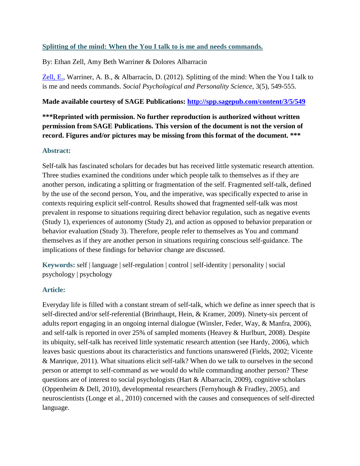# **Splitting of the mind: When the You I talk to is me and needs commands.**

By: Ethan Zell, Amy Beth Warriner & Dolores Albarracin

[Zell, E.,](http://libres.uncg.edu/ir/uncg/clist.aspx?id=4459) Warriner, A. B., & Albarracín, D. (2012). Splitting of the mind: When the You I talk to is me and needs commands. *Social Psychological and Personality Science*, 3(5), 549-555.

# **Made available courtesy of SAGE Publications:<http://spp.sagepub.com/content/3/5/549>**

# **\*\*\*Reprinted with permission. No further reproduction is authorized without written permission from SAGE Publications. This version of the document is not the version of record. Figures and/or pictures may be missing from this format of the document. \*\*\***

## **Abstract:**

Self-talk has fascinated scholars for decades but has received little systematic research attention. Three studies examined the conditions under which people talk to themselves as if they are another person, indicating a splitting or fragmentation of the self. Fragmented self-talk, defined by the use of the second person, You, and the imperative, was specifically expected to arise in contexts requiring explicit self-control. Results showed that fragmented self-talk was most prevalent in response to situations requiring direct behavior regulation, such as negative events (Study 1), experiences of autonomy (Study 2), and action as opposed to behavior preparation or behavior evaluation (Study 3). Therefore, people refer to themselves as You and command themselves as if they are another person in situations requiring conscious self-guidance. The implications of these findings for behavior change are discussed.

**Keywords:** self | language | self-regulation | control | self-identity | personality | social psychology | psychology

## **Article:**

Everyday life is filled with a constant stream of self-talk, which we define as inner speech that is self-directed and/or self-referential (Brinthaupt, Hein, & Kramer, 2009). Ninety-six percent of adults report engaging in an ongoing internal dialogue (Winsler, Feder, Way, & Manfra, 2006), and self-talk is reported in over 25% of sampled moments (Heavey & Hurlburt, 2008). Despite its ubiquity, self-talk has received little systematic research attention (see Hardy, 2006), which leaves basic questions about its characteristics and functions unanswered (Fields, 2002; Vicente & Manrique, 2011). What situations elicit self-talk? When do we talk to ourselves in the second person or attempt to self-command as we would do while commanding another person? These questions are of interest to social psychologists (Hart & Albarracín, 2009), cognitive scholars (Oppenheim & Dell, 2010), developmental researchers (Fernyhough & Fradley, 2005), and neuroscientists (Longe et al., 2010) concerned with the causes and consequences of self-directed language.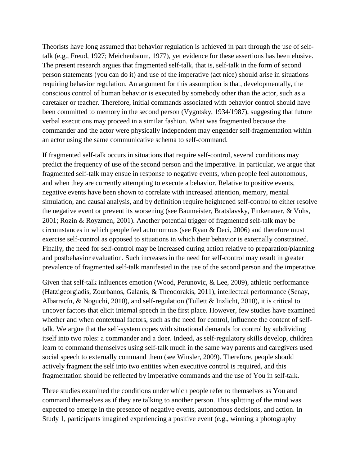Theorists have long assumed that behavior regulation is achieved in part through the use of selftalk (e.g., Freud, 1927; Meichenbaum, 1977), yet evidence for these assertions has been elusive. The present research argues that fragmented self-talk, that is, self-talk in the form of second person statements (you can do it) and use of the imperative (act nice) should arise in situations requiring behavior regulation. An argument for this assumption is that, developmentally, the conscious control of human behavior is executed by somebody other than the actor, such as a caretaker or teacher. Therefore, initial commands associated with behavior control should have been committed to memory in the second person (Vygotsky, 1934/1987), suggesting that future verbal executions may proceed in a similar fashion. What was fragmented because the commander and the actor were physically independent may engender self-fragmentation within an actor using the same communicative schema to self-command.

If fragmented self-talk occurs in situations that require self-control, several conditions may predict the frequency of use of the second person and the imperative. In particular, we argue that fragmented self-talk may ensue in response to negative events, when people feel autonomous, and when they are currently attempting to execute a behavior. Relative to positive events, negative events have been shown to correlate with increased attention, memory, mental simulation, and causal analysis, and by definition require heightened self-control to either resolve the negative event or prevent its worsening (see Baumeister, Bratslavsky, Finkenauer, & Vohs, 2001; Rozin & Royzmen, 2001). Another potential trigger of fragmented self-talk may be circumstances in which people feel autonomous (see Ryan & Deci, 2006) and therefore must exercise self-control as opposed to situations in which their behavior is externally constrained. Finally, the need for self-control may be increased during action relative to preparation/planning and postbehavior evaluation. Such increases in the need for self-control may result in greater prevalence of fragmented self-talk manifested in the use of the second person and the imperative.

Given that self-talk influences emotion (Wood, Perunovic, & Lee, 2009), athletic performance (Hatzigeorgiadis, Zourbanos, Galanis, & Theodorakis, 2011), intellectual performance (Senay, Albarracín, & Noguchi, 2010), and self-regulation (Tullett & Inzlicht, 2010), it is critical to uncover factors that elicit internal speech in the first place. However, few studies have examined whether and when contextual factors, such as the need for control, influence the content of selftalk. We argue that the self-system copes with situational demands for control by subdividing itself into two roles: a commander and a doer. Indeed, as self-regulatory skills develop, children learn to command themselves using self-talk much in the same way parents and caregivers used social speech to externally command them (see Winsler, 2009). Therefore, people should actively fragment the self into two entities when executive control is required, and this fragmentation should be reflected by imperative commands and the use of You in self-talk.

Three studies examined the conditions under which people refer to themselves as You and command themselves as if they are talking to another person. This splitting of the mind was expected to emerge in the presence of negative events, autonomous decisions, and action. In Study 1, participants imagined experiencing a positive event (e.g., winning a photography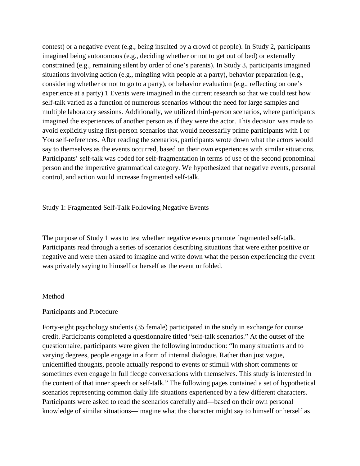contest) or a negative event (e.g., being insulted by a crowd of people). In Study 2, participants imagined being autonomous (e.g., deciding whether or not to get out of bed) or externally constrained (e.g., remaining silent by order of one's parents). In Study 3, participants imagined situations involving action (e.g., mingling with people at a party), behavior preparation (e.g., considering whether or not to go to a party), or behavior evaluation (e.g., reflecting on one's experience at a party).1 Events were imagined in the current research so that we could test how self-talk varied as a function of numerous scenarios without the need for large samples and multiple laboratory sessions. Additionally, we utilized third-person scenarios, where participants imagined the experiences of another person as if they were the actor. This decision was made to avoid explicitly using first-person scenarios that would necessarily prime participants with I or You self-references. After reading the scenarios, participants wrote down what the actors would say to themselves as the events occurred, based on their own experiences with similar situations. Participants' self-talk was coded for self-fragmentation in terms of use of the second pronominal person and the imperative grammatical category. We hypothesized that negative events, personal control, and action would increase fragmented self-talk.

Study 1: Fragmented Self-Talk Following Negative Events

The purpose of Study 1 was to test whether negative events promote fragmented self-talk. Participants read through a series of scenarios describing situations that were either positive or negative and were then asked to imagine and write down what the person experiencing the event was privately saying to himself or herself as the event unfolded.

## Method

#### Participants and Procedure

Forty-eight psychology students (35 female) participated in the study in exchange for course credit. Participants completed a questionnaire titled "self-talk scenarios." At the outset of the questionnaire, participants were given the following introduction: "In many situations and to varying degrees, people engage in a form of internal dialogue. Rather than just vague, unidentified thoughts, people actually respond to events or stimuli with short comments or sometimes even engage in full fledge conversations with themselves. This study is interested in the content of that inner speech or self-talk." The following pages contained a set of hypothetical scenarios representing common daily life situations experienced by a few different characters. Participants were asked to read the scenarios carefully and—based on their own personal knowledge of similar situations—imagine what the character might say to himself or herself as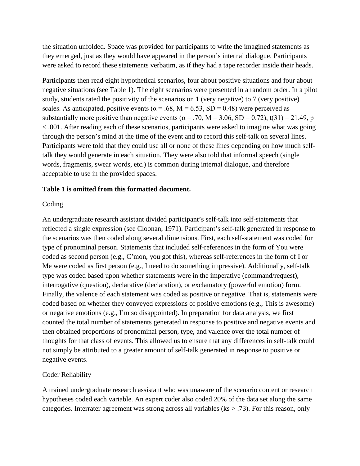the situation unfolded. Space was provided for participants to write the imagined statements as they emerged, just as they would have appeared in the person's internal dialogue. Participants were asked to record these statements verbatim, as if they had a tape recorder inside their heads.

Participants then read eight hypothetical scenarios, four about positive situations and four about negative situations (see Table 1). The eight scenarios were presented in a random order. In a pilot study, students rated the positivity of the scenarios on 1 (very negative) to 7 (very positive) scales. As anticipated, positive events ( $\alpha$  = .68, M = 6.53, SD = 0.48) were perceived as substantially more positive than negative events ( $\alpha$  = .70, M = 3.06, SD = 0.72), t(31) = 21.49, p < .001. After reading each of these scenarios, participants were asked to imagine what was going through the person's mind at the time of the event and to record this self-talk on several lines. Participants were told that they could use all or none of these lines depending on how much selftalk they would generate in each situation. They were also told that informal speech (single words, fragments, swear words, etc.) is common during internal dialogue, and therefore acceptable to use in the provided spaces.

#### **Table 1 is omitted from this formatted document.**

#### Coding

An undergraduate research assistant divided participant's self-talk into self-statements that reflected a single expression (see Cloonan, 1971). Participant's self-talk generated in response to the scenarios was then coded along several dimensions. First, each self-statement was coded for type of pronominal person. Statements that included self-references in the form of You were coded as second person (e.g., C'mon, you got this), whereas self-references in the form of I or Me were coded as first person (e.g., I need to do something impressive). Additionally, self-talk type was coded based upon whether statements were in the imperative (command/request), interrogative (question), declarative (declaration), or exclamatory (powerful emotion) form. Finally, the valence of each statement was coded as positive or negative. That is, statements were coded based on whether they conveyed expressions of positive emotions (e.g., This is awesome) or negative emotions (e.g., I'm so disappointed). In preparation for data analysis, we first counted the total number of statements generated in response to positive and negative events and then obtained proportions of pronominal person, type, and valence over the total number of thoughts for that class of events. This allowed us to ensure that any differences in self-talk could not simply be attributed to a greater amount of self-talk generated in response to positive or negative events.

#### Coder Reliability

A trained undergraduate research assistant who was unaware of the scenario content or research hypotheses coded each variable. An expert coder also coded 20% of the data set along the same categories. Interrater agreement was strong across all variables (ks > .73). For this reason, only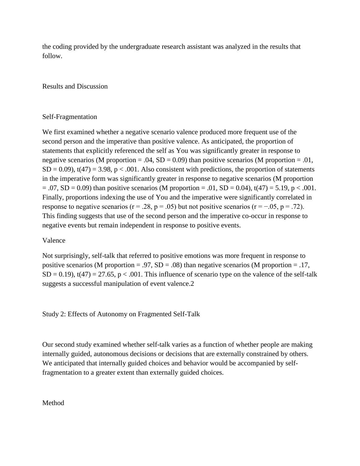the coding provided by the undergraduate research assistant was analyzed in the results that follow.

### Results and Discussion

### Self-Fragmentation

We first examined whether a negative scenario valence produced more frequent use of the second person and the imperative than positive valence. As anticipated, the proportion of statements that explicitly referenced the self as You was significantly greater in response to negative scenarios (M proportion = .04,  $SD = 0.09$ ) than positive scenarios (M proportion = .01,  $SD = 0.09$ ,  $t(47) = 3.98$ ,  $p < .001$ . Also consistent with predictions, the proportion of statements in the imperative form was significantly greater in response to negative scenarios (M proportion  $= .07$ , SD  $= 0.09$ ) than positive scenarios (M proportion  $= .01$ , SD  $= 0.04$ ), t(47)  $= 5.19$ , p  $< .001$ . Finally, proportions indexing the use of You and the imperative were significantly correlated in response to negative scenarios ( $r = .28$ ,  $p = .05$ ) but not positive scenarios ( $r = -.05$ ,  $p = .72$ ). This finding suggests that use of the second person and the imperative co-occur in response to negative events but remain independent in response to positive events.

#### Valence

Not surprisingly, self-talk that referred to positive emotions was more frequent in response to positive scenarios (M proportion = .97,  $SD = .08$ ) than negative scenarios (M proportion = .17,  $SD = 0.19$ ,  $t(47) = 27.65$ ,  $p < .001$ . This influence of scenario type on the valence of the self-talk suggests a successful manipulation of event valence.2

Study 2: Effects of Autonomy on Fragmented Self-Talk

Our second study examined whether self-talk varies as a function of whether people are making internally guided, autonomous decisions or decisions that are externally constrained by others. We anticipated that internally guided choices and behavior would be accompanied by selffragmentation to a greater extent than externally guided choices.

## Method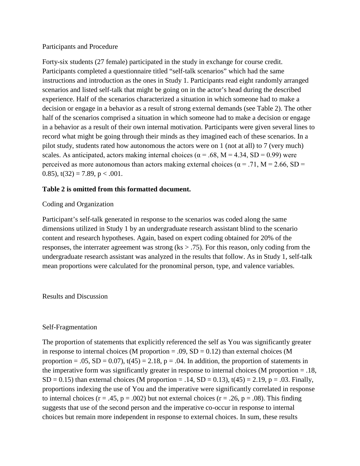### Participants and Procedure

Forty-six students (27 female) participated in the study in exchange for course credit. Participants completed a questionnaire titled "self-talk scenarios" which had the same instructions and introduction as the ones in Study 1. Participants read eight randomly arranged scenarios and listed self-talk that might be going on in the actor's head during the described experience. Half of the scenarios characterized a situation in which someone had to make a decision or engage in a behavior as a result of strong external demands (see Table 2). The other half of the scenarios comprised a situation in which someone had to make a decision or engage in a behavior as a result of their own internal motivation. Participants were given several lines to record what might be going through their minds as they imagined each of these scenarios. In a pilot study, students rated how autonomous the actors were on 1 (not at all) to 7 (very much) scales. As anticipated, actors making internal choices ( $\alpha$  = .68, M = 4.34, SD = 0.99) were perceived as more autonomous than actors making external choices ( $\alpha$  = .71, M = 2.66, SD = 0.85),  $t(32) = 7.89$ ,  $p < .001$ .

### **Table 2 is omitted from this formatted document.**

### Coding and Organization

Participant's self-talk generated in response to the scenarios was coded along the same dimensions utilized in Study 1 by an undergraduate research assistant blind to the scenario content and research hypotheses. Again, based on expert coding obtained for 20% of the responses, the interrater agreement was strong ( $ks > .75$ ). For this reason, only coding from the undergraduate research assistant was analyzed in the results that follow. As in Study 1, self-talk mean proportions were calculated for the pronominal person, type, and valence variables.

Results and Discussion

#### Self-Fragmentation

The proportion of statements that explicitly referenced the self as You was significantly greater in response to internal choices (M proportion = .09,  $SD = 0.12$ ) than external choices (M proportion = .05, SD = 0.07),  $t(45) = 2.18$ , p = .04. In addition, the proportion of statements in the imperative form was significantly greater in response to internal choices (M proportion  $= .18$ ,  $SD = 0.15$ ) than external choices (M proportion = .14,  $SD = 0.13$ ),  $t(45) = 2.19$ , p = .03. Finally, proportions indexing the use of You and the imperative were significantly correlated in response to internal choices ( $r = .45$ ,  $p = .002$ ) but not external choices ( $r = .26$ ,  $p = .08$ ). This finding suggests that use of the second person and the imperative co-occur in response to internal choices but remain more independent in response to external choices. In sum, these results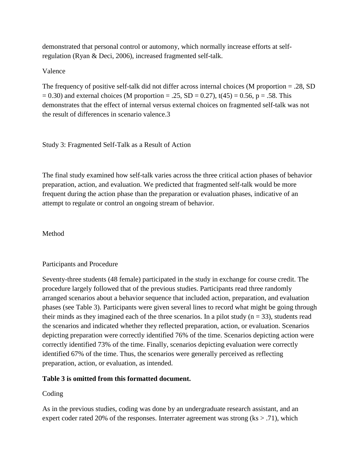demonstrated that personal control or automony, which normally increase efforts at selfregulation (Ryan & Deci, 2006), increased fragmented self-talk.

## Valence

The frequency of positive self-talk did not differ across internal choices (M proportion = .28, SD  $= 0.30$ ) and external choices (M proportion = .25, SD = 0.27), t(45) = 0.56, p = .58. This demonstrates that the effect of internal versus external choices on fragmented self-talk was not the result of differences in scenario valence.3

Study 3: Fragmented Self-Talk as a Result of Action

The final study examined how self-talk varies across the three critical action phases of behavior preparation, action, and evaluation. We predicted that fragmented self-talk would be more frequent during the action phase than the preparation or evaluation phases, indicative of an attempt to regulate or control an ongoing stream of behavior.

# Method

# Participants and Procedure

Seventy-three students (48 female) participated in the study in exchange for course credit. The procedure largely followed that of the previous studies. Participants read three randomly arranged scenarios about a behavior sequence that included action, preparation, and evaluation phases (see Table 3). Participants were given several lines to record what might be going through their minds as they imagined each of the three scenarios. In a pilot study ( $n = 33$ ), students read the scenarios and indicated whether they reflected preparation, action, or evaluation. Scenarios depicting preparation were correctly identified 76% of the time. Scenarios depicting action were correctly identified 73% of the time. Finally, scenarios depicting evaluation were correctly identified 67% of the time. Thus, the scenarios were generally perceived as reflecting preparation, action, or evaluation, as intended.

# **Table 3 is omitted from this formatted document.**

# Coding

As in the previous studies, coding was done by an undergraduate research assistant, and an expert coder rated 20% of the responses. Interrater agreement was strong ( $\text{ks} > .71$ ), which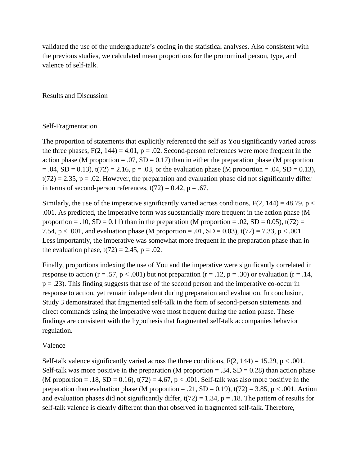validated the use of the undergraduate's coding in the statistical analyses. Also consistent with the previous studies, we calculated mean proportions for the pronominal person, type, and valence of self-talk.

Results and Discussion

#### Self-Fragmentation

The proportion of statements that explicitly referenced the self as You significantly varied across the three phases,  $F(2, 144) = 4.01$ ,  $p = .02$ . Second-person references were more frequent in the action phase (M proportion = .07,  $SD = 0.17$ ) than in either the preparation phase (M proportion  $= .04$ , SD  $= 0.13$ ), t(72)  $= 2.16$ , p  $= .03$ , or the evaluation phase (M proportion  $= .04$ , SD  $= 0.13$ ),  $t(72) = 2.35$ ,  $p = .02$ . However, the preparation and evaluation phase did not significantly differ in terms of second-person references,  $t(72) = 0.42$ ,  $p = .67$ .

Similarly, the use of the imperative significantly varied across conditions,  $F(2, 144) = 48.79$ , p < .001. As predicted, the imperative form was substantially more frequent in the action phase (M proportion = .10,  $SD = 0.11$ ) than in the preparation (M proportion = .02,  $SD = 0.05$ ), t(72) = 7.54,  $p < .001$ , and evaluation phase (M proportion = .01, SD = 0.03),  $t(72) = 7.33$ ,  $p < .001$ . Less importantly, the imperative was somewhat more frequent in the preparation phase than in the evaluation phase,  $t(72) = 2.45$ ,  $p = .02$ .

Finally, proportions indexing the use of You and the imperative were significantly correlated in response to action ( $r = .57$ ,  $p < .001$ ) but not preparation ( $r = .12$ ,  $p = .30$ ) or evaluation ( $r = .14$ ,  $p = .23$ ). This finding suggests that use of the second person and the imperative co-occur in response to action, yet remain independent during preparation and evaluation. In conclusion, Study 3 demonstrated that fragmented self-talk in the form of second-person statements and direct commands using the imperative were most frequent during the action phase. These findings are consistent with the hypothesis that fragmented self-talk accompanies behavior regulation.

#### Valence

Self-talk valence significantly varied across the three conditions,  $F(2, 144) = 15.29$ ,  $p < .001$ . Self-talk was more positive in the preparation (M proportion  $= .34$ , SD  $= 0.28$ ) than action phase (M proportion = .18, SD = 0.16),  $t(72) = 4.67$ ,  $p < .001$ . Self-talk was also more positive in the preparation than evaluation phase (M proportion = .21, SD = 0.19),  $t(72) = 3.85$ , p < .001. Action and evaluation phases did not significantly differ,  $t(72) = 1.34$ ,  $p = .18$ . The pattern of results for self-talk valence is clearly different than that observed in fragmented self-talk. Therefore,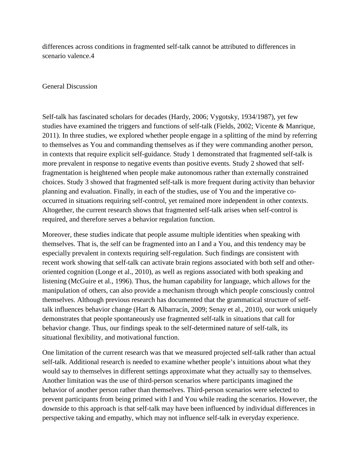differences across conditions in fragmented self-talk cannot be attributed to differences in scenario valence.4

General Discussion

Self-talk has fascinated scholars for decades (Hardy, 2006; Vygotsky, 1934/1987), yet few studies have examined the triggers and functions of self-talk (Fields, 2002; Vicente & Manrique, 2011). In three studies, we explored whether people engage in a splitting of the mind by referring to themselves as You and commanding themselves as if they were commanding another person, in contexts that require explicit self-guidance. Study 1 demonstrated that fragmented self-talk is more prevalent in response to negative events than positive events. Study 2 showed that selffragmentation is heightened when people make autonomous rather than externally constrained choices. Study 3 showed that fragmented self-talk is more frequent during activity than behavior planning and evaluation. Finally, in each of the studies, use of You and the imperative cooccurred in situations requiring self-control, yet remained more independent in other contexts. Altogether, the current research shows that fragmented self-talk arises when self-control is required, and therefore serves a behavior regulation function.

Moreover, these studies indicate that people assume multiple identities when speaking with themselves. That is, the self can be fragmented into an I and a You, and this tendency may be especially prevalent in contexts requiring self-regulation. Such findings are consistent with recent work showing that self-talk can activate brain regions associated with both self and otheroriented cognition (Longe et al., 2010), as well as regions associated with both speaking and listening (McGuire et al., 1996). Thus, the human capability for language, which allows for the manipulation of others, can also provide a mechanism through which people consciously control themselves. Although previous research has documented that the grammatical structure of selftalk influences behavior change (Hart & Albarracín, 2009; Senay et al., 2010), our work uniquely demonstrates that people spontaneously use fragmented self-talk in situations that call for behavior change. Thus, our findings speak to the self-determined nature of self-talk, its situational flexibility, and motivational function.

One limitation of the current research was that we measured projected self-talk rather than actual self-talk. Additional research is needed to examine whether people's intuitions about what they would say to themselves in different settings approximate what they actually say to themselves. Another limitation was the use of third-person scenarios where participants imagined the behavior of another person rather than themselves. Third-person scenarios were selected to prevent participants from being primed with I and You while reading the scenarios. However, the downside to this approach is that self-talk may have been influenced by individual differences in perspective taking and empathy, which may not influence self-talk in everyday experience.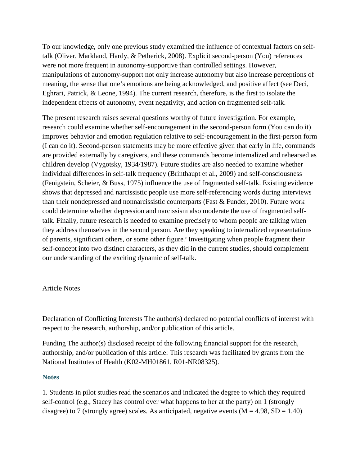To our knowledge, only one previous study examined the influence of contextual factors on selftalk (Oliver, Markland, Hardy, & Petherick, 2008). Explicit second-person (You) references were not more frequent in autonomy-supportive than controlled settings. However, manipulations of autonomy-support not only increase autonomy but also increase perceptions of meaning, the sense that one's emotions are being acknowledged, and positive affect (see Deci, Eghrari, Patrick, & Leone, 1994). The current research, therefore, is the first to isolate the independent effects of autonomy, event negativity, and action on fragmented self-talk.

The present research raises several questions worthy of future investigation. For example, research could examine whether self-encouragement in the second-person form (You can do it) improves behavior and emotion regulation relative to self-encouragement in the first-person form (I can do it). Second-person statements may be more effective given that early in life, commands are provided externally by caregivers, and these commands become internalized and rehearsed as children develop (Vygotsky, 1934/1987). Future studies are also needed to examine whether individual differences in self-talk frequency (Brinthaupt et al., 2009) and self-consciousness (Fenigstein, Scheier, & Buss, 1975) influence the use of fragmented self-talk. Existing evidence shows that depressed and narcissistic people use more self-referencing words during interviews than their nondepressed and nonnarcissistic counterparts (Fast & Funder, 2010). Future work could determine whether depression and narcissism also moderate the use of fragmented selftalk. Finally, future research is needed to examine precisely to whom people are talking when they address themselves in the second person. Are they speaking to internalized representations of parents, significant others, or some other figure? Investigating when people fragment their self-concept into two distinct characters, as they did in the current studies, should complement our understanding of the exciting dynamic of self-talk.

#### Article Notes

Declaration of Conflicting Interests The author(s) declared no potential conflicts of interest with respect to the research, authorship, and/or publication of this article.

Funding The author(s) disclosed receipt of the following financial support for the research, authorship, and/or publication of this article: This research was facilitated by grants from the National Institutes of Health (K02-MH01861, R01-NR08325).

#### **Notes**

1. Students in pilot studies read the scenarios and indicated the degree to which they required self-control (e.g., Stacey has control over what happens to her at the party) on 1 (strongly disagree) to 7 (strongly agree) scales. As anticipated, negative events  $(M = 4.98, SD = 1.40)$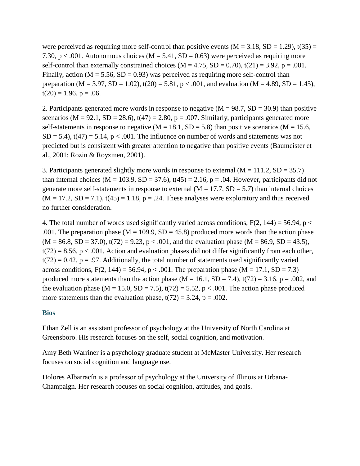were perceived as requiring more self-control than positive events  $(M = 3.18, SD = 1.29)$ , t(35) = 7.30,  $p < .001$ . Autonomous choices (M = 5.41, SD = 0.63) were perceived as requiring more self-control than externally constrained choices ( $M = 4.75$ ,  $SD = 0.70$ ),  $t(21) = 3.92$ ,  $p = .001$ . Finally, action ( $M = 5.56$ ,  $SD = 0.93$ ) was perceived as requiring more self-control than preparation (M = 3.97, SD = 1.02), t(20) = 5.81, p < .001, and evaluation (M = 4.89, SD = 1.45),  $t(20) = 1.96$ ,  $p = .06$ .

2. Participants generated more words in response to negative  $(M = 98.7, SD = 30.9)$  than positive scenarios ( $M = 92.1$ ,  $SD = 28.6$ ),  $t(47) = 2.80$ ,  $p = .007$ . Similarly, participants generated more self-statements in response to negative ( $M = 18.1$ ,  $SD = 5.8$ ) than positive scenarios ( $M = 15.6$ ,  $SD = 5.4$ ),  $t(47) = 5.14$ ,  $p < .001$ . The influence on number of words and statements was not predicted but is consistent with greater attention to negative than positive events (Baumeister et al., 2001; Rozin & Royzmen, 2001).

3. Participants generated slightly more words in response to external  $(M = 111.2, SD = 35.7)$ than internal choices ( $M = 103.9$ ,  $SD = 37.6$ ),  $t(45) = 2.16$ ,  $p = .04$ . However, participants did not generate more self-statements in response to external  $(M = 17.7, SD = 5.7)$  than internal choices  $(M = 17.2, SD = 7.1)$ ,  $t(45) = 1.18$ ,  $p = .24$ . These analyses were exploratory and thus received no further consideration.

4. The total number of words used significantly varied across conditions,  $F(2, 144) = 56.94$ ,  $p <$ .001. The preparation phase ( $M = 109.9$ ,  $SD = 45.8$ ) produced more words than the action phase  $(M = 86.8, SD = 37.0)$ ,  $t(72) = 9.23$ ,  $p < .001$ , and the evaluation phase  $(M = 86.9, SD = 43.5)$ ,  $t(72) = 8.56$ , p < .001. Action and evaluation phases did not differ significantly from each other,  $t(72) = 0.42$ ,  $p = .97$ . Additionally, the total number of statements used significantly varied across conditions, F(2, 144) = 56.94, p < .001. The preparation phase (M = 17.1, SD = 7.3) produced more statements than the action phase ( $M = 16.1$ ,  $SD = 7.4$ ),  $t(72) = 3.16$ ,  $p = .002$ , and the evaluation phase ( $M = 15.0$ ,  $SD = 7.5$ ),  $t(72) = 5.52$ ,  $p < .001$ . The action phase produced more statements than the evaluation phase,  $t(72) = 3.24$ ,  $p = .002$ .

#### **Bios**

Ethan Zell is an assistant professor of psychology at the University of North Carolina at Greensboro. His research focuses on the self, social cognition, and motivation.

Amy Beth Warriner is a psychology graduate student at McMaster University. Her research focuses on social cognition and language use.

Dolores Albarracín is a professor of psychology at the University of Illinois at Urbana-Champaign. Her research focuses on social cognition, attitudes, and goals.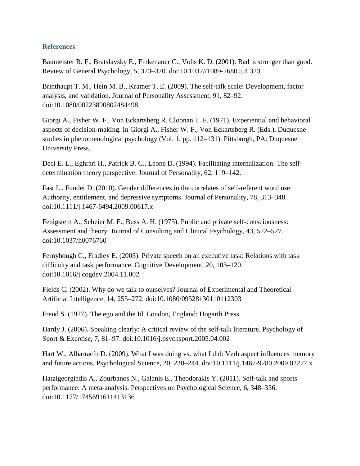## **References**

Baumeister R. F., Bratslavsky E., Finkenauer C., Vohs K. D. (2001). Bad is stronger than good. Review of General Psychology, 5, 323–370. doi:10.1037//1089-2680.5.4.323

Brinthaupt T. M., Hein M. B., Kramer T. E. (2009). The self-talk scale: Development, factor analysis, and validation. Journal of Personality Assessment, 91, 82–92. doi:10.1080/00223890802484498

Giorgi A., Fisher W. F., Von Eckartsberg R. Cloonan T. F. (1971). Experiential and behavioral aspects of decision-making. In Giorgi A., Fisher W. F., Von Eckartsberg R. (Eds.), Duquesne studies in phenomenological psychology (Vol. 1, pp. 112–131). Pittsburgh, PA: Duquesne University Press.

Deci E. L., Eghrari H., Patrick B. C., Leone D. (1994). Facilitating internalization: The selfdetermination theory perspective. Journal of Personality, 62, 119–142.

Fast L., Funder D. (2010). Gender differences in the correlates of self-referent word use: Authority, entitlement, and depressive symptoms. Journal of Personality, 78, 313–348. doi:10.1111/j.1467-6494.2009.00617.x

Fenigstein A., Scheier M. F., Buss A. H. (1975). Public and private self-consciousness: Assessment and theory. Journal of Consulting and Clinical Psychology, 43, 522–527. doi:10.1037/h0076760

Fernyhough C., Fradley E. (2005). Private speech on an executive task: Relations with task difficulty and task performance. Cognitive Development, 20, 103–120. doi:10.1016/j.cogdev.2004.11.002

Fields C. (2002). Why do we talk to ourselves? Journal of Experimental and Theoretical Artificial Intelligence, 14, 255–272. doi:10.1080/09528130110112303

Freud S. (1927). The ego and the Id. London, England: Hogarth Press.

Hardy J. (2006). Speaking clearly: A critical review of the self-talk literature. Psychology of Sport & Exercise, 7, 81–97. doi:10.1016/j.psychsport.2005.04.002

Hart W., Albarracín D. (2009). What I was doing vs. what I did: Verb aspect influences memory and future actions. Psychological Science, 20, 238–244. doi:10.1111/j.1467-9280.2009.02277.x

Hatzigeorgiadis A., Zourbanos N., Galanis E., Theodorakis Y. (2011). Self-talk and sports performance: A meta-analysis. Perspectives on Psychological Science, 6, 348–356. doi:10.1177/1745691611413136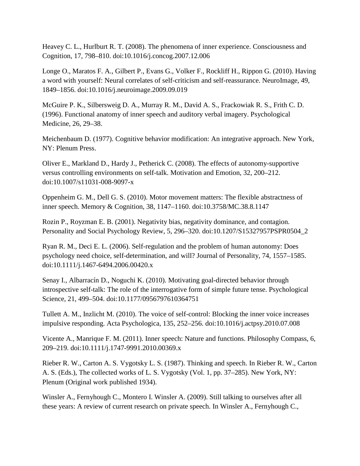Heavey C. L., Hurlburt R. T. (2008). The phenomena of inner experience. Consciousness and Cognition, 17, 798–810. doi:10.1016/j.concog.2007.12.006

Longe O., Maratos F. A., Gilbert P., Evans G., Volker F., Rockliff H., Rippon G. (2010). Having a word with yourself: Neural correlates of self-criticism and self-reassurance. NeuroImage, 49, 1849–1856. doi:10.1016/j.neuroimage.2009.09.019

McGuire P. K., Silbersweig D. A., Murray R. M., David A. S., Frackowiak R. S., Frith C. D. (1996). Functional anatomy of inner speech and auditory verbal imagery. Psychological Medicine, 26, 29–38.

Meichenbaum D. (1977). Cognitive behavior modification: An integrative approach. New York, NY: Plenum Press.

Oliver E., Markland D., Hardy J., Petherick C. (2008). The effects of autonomy-supportive versus controlling environments on self-talk. Motivation and Emotion, 32, 200–212. doi:10.1007/s11031-008-9097-x

Oppenheim G. M., Dell G. S. (2010). Motor movement matters: The flexible abstractness of inner speech. Memory & Cognition, 38, 1147–1160. doi:10.3758/MC.38.8.1147

Rozin P., Royzman E. B. (2001). Negativity bias, negativity dominance, and contagion. Personality and Social Psychology Review, 5, 296–320. doi:10.1207/S15327957PSPR0504\_2

Ryan R. M., Deci E. L. (2006). Self-regulation and the problem of human autonomy: Does psychology need choice, self-determination, and will? Journal of Personality, 74, 1557–1585. doi:10.1111/j.1467-6494.2006.00420.x

Senay I., Albarracín D., Noguchi K. (2010). Motivating goal-directed behavior through introspective self-talk: The role of the interrogative form of simple future tense. Psychological Science, 21, 499–504. doi:10.1177/0956797610364751

Tullett A. M., Inzlicht M. (2010). The voice of self-control: Blocking the inner voice increases impulsive responding. Acta Psychologica, 135, 252–256. doi:10.1016/j.actpsy.2010.07.008

Vicente A., Manrique F. M. (2011). Inner speech: Nature and functions. Philosophy Compass, 6, 209–219. doi:10.1111/j.1747-9991.2010.00369.x

Rieber R. W., Carton A. S. Vygotsky L. S. (1987). Thinking and speech. In Rieber R. W., Carton A. S. (Eds.), The collected works of L. S. Vygotsky (Vol. 1, pp. 37–285). New York, NY: Plenum (Original work published 1934).

Winsler A., Fernyhough C., Montero I. Winsler A. (2009). Still talking to ourselves after all these years: A review of current research on private speech. In Winsler A., Fernyhough C.,